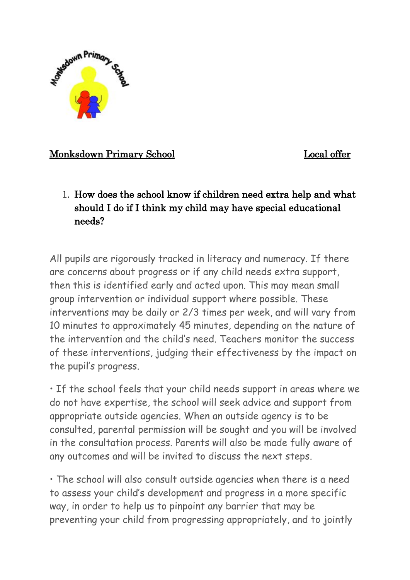

#### Monksdown Primary School Local offer

1. How does the school know if children need extra help and what should I do if I think my child may have special educational needs?

All pupils are rigorously tracked in literacy and numeracy. If there are concerns about progress or if any child needs extra support, then this is identified early and acted upon. This may mean small group intervention or individual support where possible. These interventions may be daily or 2/3 times per week, and will vary from 10 minutes to approximately 45 minutes, depending on the nature of the intervention and the child's need. Teachers monitor the success of these interventions, judging their effectiveness by the impact on the pupil's progress.

• If the school feels that your child needs support in areas where we do not have expertise, the school will seek advice and support from appropriate outside agencies. When an outside agency is to be consulted, parental permission will be sought and you will be involved in the consultation process. Parents will also be made fully aware of any outcomes and will be invited to discuss the next steps.

• The school will also consult outside agencies when there is a need to assess your child's development and progress in a more specific way, in order to help us to pinpoint any barrier that may be preventing your child from progressing appropriately, and to jointly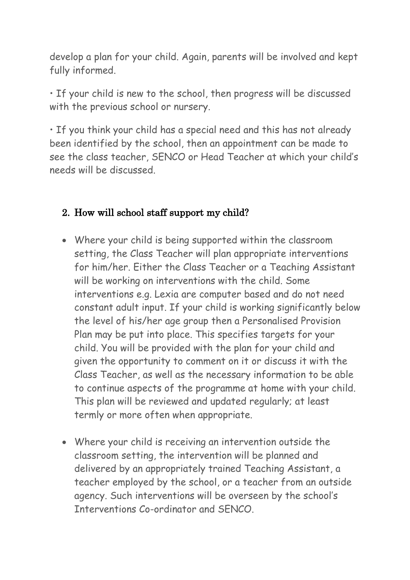develop a plan for your child. Again, parents will be involved and kept fully informed.

• If your child is new to the school, then progress will be discussed with the previous school or nursery.

• If you think your child has a special need and this has not already been identified by the school, then an appointment can be made to see the class teacher, SENCO or Head Teacher at which your child's needs will be discussed.

#### 2. How will school staff support my child?

- Where your child is being supported within the classroom setting, the Class Teacher will plan appropriate interventions for him/her. Either the Class Teacher or a Teaching Assistant will be working on interventions with the child. Some interventions e.g. Lexia are computer based and do not need constant adult input. If your child is working significantly below the level of his/her age group then a Personalised Provision Plan may be put into place. This specifies targets for your child. You will be provided with the plan for your child and given the opportunity to comment on it or discuss it with the Class Teacher, as well as the necessary information to be able to continue aspects of the programme at home with your child. This plan will be reviewed and updated regularly; at least termly or more often when appropriate.
- Where your child is receiving an intervention outside the classroom setting, the intervention will be planned and delivered by an appropriately trained Teaching Assistant, a teacher employed by the school, or a teacher from an outside agency. Such interventions will be overseen by the school's Interventions Co-ordinator and SENCO.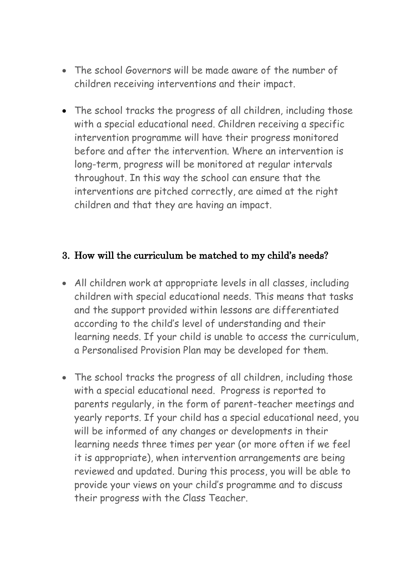- The school Governors will be made aware of the number of children receiving interventions and their impact.
- The school tracks the progress of all children, including those with a special educational need. Children receiving a specific intervention programme will have their progress monitored before and after the intervention. Where an intervention is long-term, progress will be monitored at regular intervals throughout. In this way the school can ensure that the interventions are pitched correctly, are aimed at the right children and that they are having an impact.

#### 3. How will the curriculum be matched to my child's needs?

- All children work at appropriate levels in all classes, including children with special educational needs. This means that tasks and the support provided within lessons are differentiated according to the child's level of understanding and their learning needs. If your child is unable to access the curriculum, a Personalised Provision Plan may be developed for them.
- The school tracks the progress of all children, including those with a special educational need. Progress is reported to parents regularly, in the form of parent-teacher meetings and yearly reports. If your child has a special educational need, you will be informed of any changes or developments in their learning needs three times per year (or more often if we feel it is appropriate), when intervention arrangements are being reviewed and updated. During this process, you will be able to provide your views on your child's programme and to discuss their progress with the Class Teacher.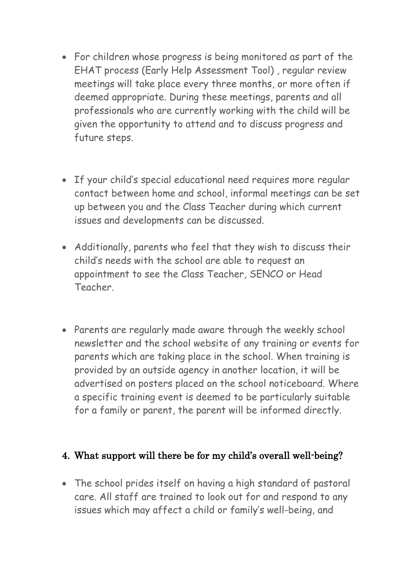- For children whose progress is being monitored as part of the EHAT process (Early Help Assessment Tool) , regular review meetings will take place every three months, or more often if deemed appropriate. During these meetings, parents and all professionals who are currently working with the child will be given the opportunity to attend and to discuss progress and future steps.
- If your child's special educational need requires more regular contact between home and school, informal meetings can be set up between you and the Class Teacher during which current issues and developments can be discussed.
- Additionally, parents who feel that they wish to discuss their child's needs with the school are able to request an appointment to see the Class Teacher, SENCO or Head Teacher.
- Parents are regularly made aware through the weekly school newsletter and the school website of any training or events for parents which are taking place in the school. When training is provided by an outside agency in another location, it will be advertised on posters placed on the school noticeboard. Where a specific training event is deemed to be particularly suitable for a family or parent, the parent will be informed directly.

#### 4. What support will there be for my child's overall well-being?

• The school prides itself on having a high standard of pastoral care. All staff are trained to look out for and respond to any issues which may affect a child or family's well-being, and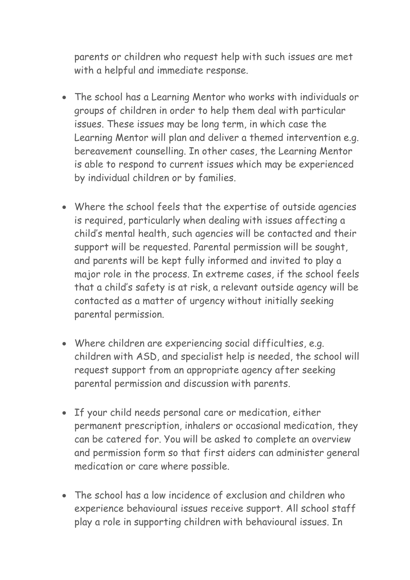parents or children who request help with such issues are met with a helpful and immediate response.

- The school has a Learning Mentor who works with individuals or groups of children in order to help them deal with particular issues. These issues may be long term, in which case the Learning Mentor will plan and deliver a themed intervention e.g. bereavement counselling. In other cases, the Learning Mentor is able to respond to current issues which may be experienced by individual children or by families.
- Where the school feels that the expertise of outside agencies is required, particularly when dealing with issues affecting a child's mental health, such agencies will be contacted and their support will be requested. Parental permission will be sought, and parents will be kept fully informed and invited to play a major role in the process. In extreme cases, if the school feels that a child's safety is at risk, a relevant outside agency will be contacted as a matter of urgency without initially seeking parental permission.
- Where children are experiencing social difficulties, e.g. children with ASD, and specialist help is needed, the school will request support from an appropriate agency after seeking parental permission and discussion with parents.
- If your child needs personal care or medication, either permanent prescription, inhalers or occasional medication, they can be catered for. You will be asked to complete an overview and permission form so that first aiders can administer general medication or care where possible.
- The school has a low incidence of exclusion and children who experience behavioural issues receive support. All school staff play a role in supporting children with behavioural issues. In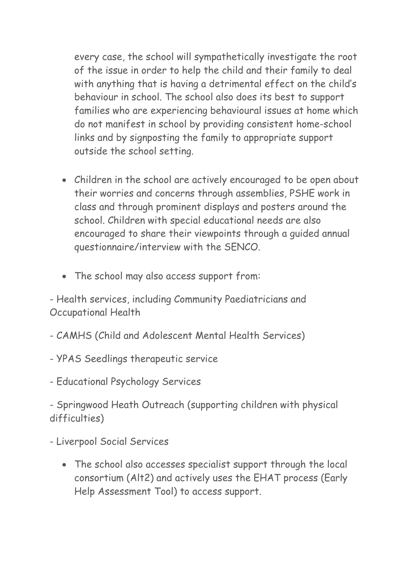every case, the school will sympathetically investigate the root of the issue in order to help the child and their family to deal with anything that is having a detrimental effect on the child's behaviour in school. The school also does its best to support families who are experiencing behavioural issues at home which do not manifest in school by providing consistent home-school links and by signposting the family to appropriate support outside the school setting.

- Children in the school are actively encouraged to be open about their worries and concerns through assemblies, PSHE work in class and through prominent displays and posters around the school. Children with special educational needs are also encouraged to share their viewpoints through a guided annual questionnaire/interview with the SENCO.
- The school may also access support from:

- Health services, including Community Paediatricians and Occupational Health

- CAMHS (Child and Adolescent Mental Health Services)
- YPAS Seedlings therapeutic service
- Educational Psychology Services

- Springwood Heath Outreach (supporting children with physical difficulties)

- Liverpool Social Services
	- The school also accesses specialist support through the local consortium (Alt2) and actively uses the EHAT process (Early Help Assessment Tool) to access support.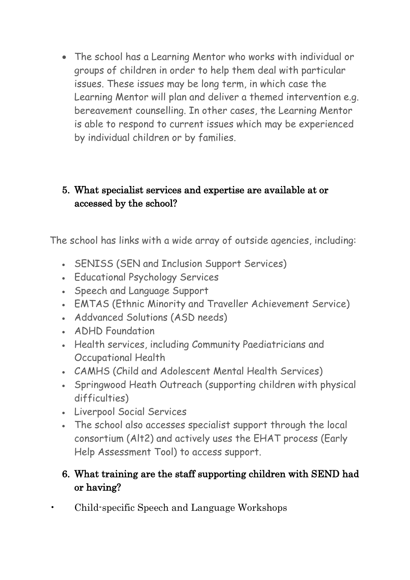• The school has a Learning Mentor who works with individual or groups of children in order to help them deal with particular issues. These issues may be long term, in which case the Learning Mentor will plan and deliver a themed intervention e.g. bereavement counselling. In other cases, the Learning Mentor is able to respond to current issues which may be experienced by individual children or by families.

### 5. What specialist services and expertise are available at or accessed by the school?

The school has links with a wide array of outside agencies, including:

- SENISS (SEN and Inclusion Support Services)
- Educational Psychology Services
- Speech and Language Support
- EMTAS (Ethnic Minority and Traveller Achievement Service)
- Addvanced Solutions (ASD needs)
- ADHD Foundation
- Health services, including Community Paediatricians and Occupational Health
- CAMHS (Child and Adolescent Mental Health Services)
- Springwood Heath Outreach (supporting children with physical difficulties)
- Liverpool Social Services
- The school also accesses specialist support through the local consortium (Alt2) and actively uses the EHAT process (Early Help Assessment Tool) to access support.

### 6. What training are the staff supporting children with SEND had or having?

• Child-specific Speech and Language Workshops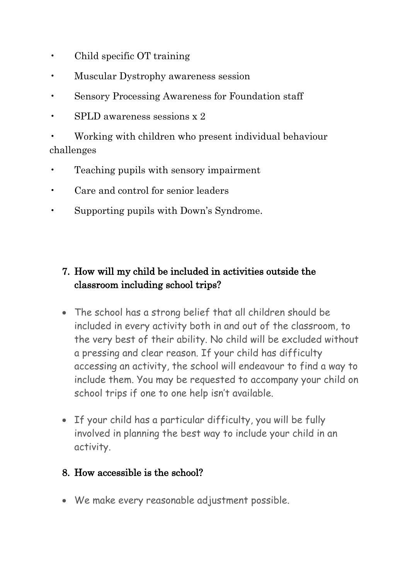- Child specific OT training
- Muscular Dystrophy awareness session
- Sensory Processing Awareness for Foundation staff
- SPLD awareness sessions x 2

• Working with children who present individual behaviour challenges

- Teaching pupils with sensory impairment
- Care and control for senior leaders
- Supporting pupils with Down's Syndrome.

# 7. How will my child be included in activities outside the classroom including school trips?

- The school has a strong belief that all children should be included in every activity both in and out of the classroom, to the very best of their ability. No child will be excluded without a pressing and clear reason. If your child has difficulty accessing an activity, the school will endeavour to find a way to include them. You may be requested to accompany your child on school trips if one to one help isn't available.
- If your child has a particular difficulty, you will be fully involved in planning the best way to include your child in an activity.

#### 8. How accessible is the school?

• We make every reasonable adjustment possible.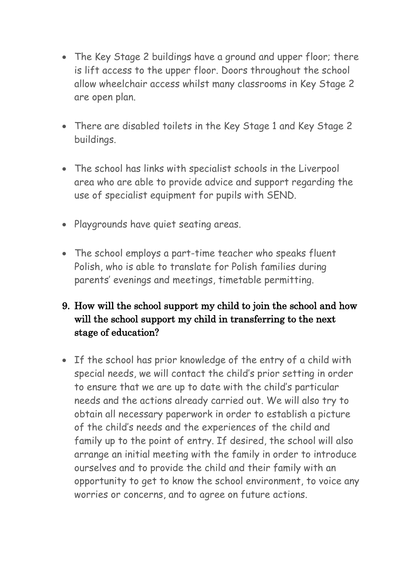- The Key Stage 2 buildings have a ground and upper floor; there is lift access to the upper floor. Doors throughout the school allow wheelchair access whilst many classrooms in Key Stage 2 are open plan.
- There are disabled toilets in the Key Stage 1 and Key Stage 2 buildings.
- The school has links with specialist schools in the Liverpool area who are able to provide advice and support regarding the use of specialist equipment for pupils with SEND.
- Playgrounds have quiet seating areas.
- The school employs a part-time teacher who speaks fluent Polish, who is able to translate for Polish families during parents' evenings and meetings, timetable permitting.

## 9. How will the school support my child to join the school and how will the school support my child in transferring to the next stage of education?

• If the school has prior knowledge of the entry of a child with special needs, we will contact the child's prior setting in order to ensure that we are up to date with the child's particular needs and the actions already carried out. We will also try to obtain all necessary paperwork in order to establish a picture of the child's needs and the experiences of the child and family up to the point of entry. If desired, the school will also arrange an initial meeting with the family in order to introduce ourselves and to provide the child and their family with an opportunity to get to know the school environment, to voice any worries or concerns, and to agree on future actions.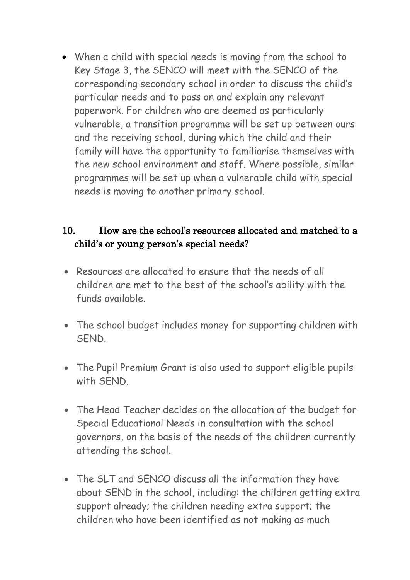• When a child with special needs is moving from the school to Key Stage 3, the SENCO will meet with the SENCO of the corresponding secondary school in order to discuss the child's particular needs and to pass on and explain any relevant paperwork. For children who are deemed as particularly vulnerable, a transition programme will be set up between ours and the receiving school, during which the child and their family will have the opportunity to familiarise themselves with the new school environment and staff. Where possible, similar programmes will be set up when a vulnerable child with special needs is moving to another primary school.

### 10. How are the school's resources allocated and matched to a child's or young person's special needs?

- Resources are allocated to ensure that the needs of all children are met to the best of the school's ability with the funds available.
- The school budget includes money for supporting children with **SEND.**
- The Pupil Premium Grant is also used to support eligible pupils with SEND.
- The Head Teacher decides on the allocation of the budget for Special Educational Needs in consultation with the school governors, on the basis of the needs of the children currently attending the school.
- The SLT and SENCO discuss all the information they have about SEND in the school, including: the children getting extra support already; the children needing extra support; the children who have been identified as not making as much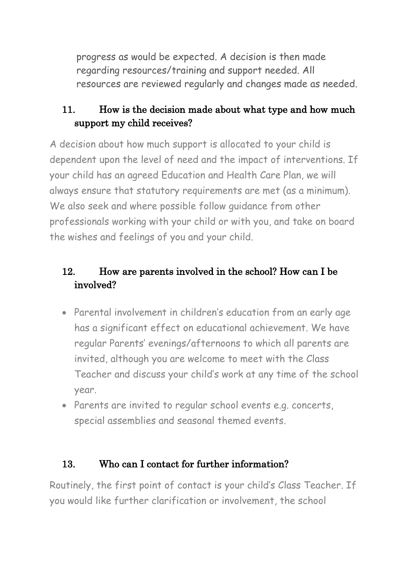progress as would be expected. A decision is then made regarding resources/training and support needed. All resources are reviewed regularly and changes made as needed.

# 11. How is the decision made about what type and how much support my child receives?

A decision about how much support is allocated to your child is dependent upon the level of need and the impact of interventions. If your child has an agreed Education and Health Care Plan, we will always ensure that statutory requirements are met (as a minimum). We also seek and where possible follow guidance from other professionals working with your child or with you, and take on board the wishes and feelings of you and your child.

# 12. How are parents involved in the school? How can I be involved?

- Parental involvement in children's education from an early age has a significant effect on educational achievement. We have regular Parents' evenings/afternoons to which all parents are invited, although you are welcome to meet with the Class Teacher and discuss your child's work at any time of the school year.
- Parents are invited to regular school events e.g. concerts, special assemblies and seasonal themed events.

### 13. Who can I contact for further information?

Routinely, the first point of contact is your child's Class Teacher. If you would like further clarification or involvement, the school